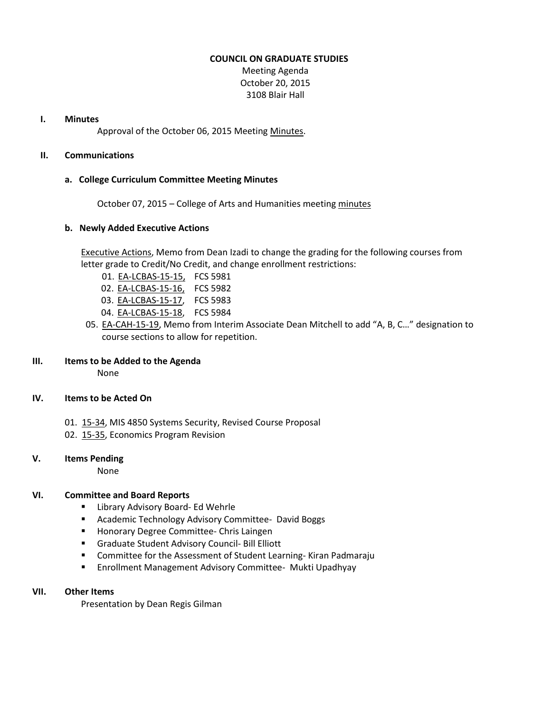#### **COUNCIL ON GRADUATE STUDIES**

Meeting Agenda October 20, 2015 3108 Blair Hall

#### **I. Minutes**

Approval of the October 06, 2015 Meeting [Minutes.](http://castle.eiu.edu/eiucgs/currentminutes/Minutes10-06-15.pdf)

# **II. Communications**

# **a. College Curriculum Committee Meeting Minutes**

October 07, 2015 – College of Arts and Humanities meeting [minutes](http://castle.eiu.edu/~eiucgs/currentagendaitems/CAHMin10-07-15.pdf)

#### **b. Newly Added Executive Actions**

[Executive Actions,](http://castle.eiu.edu/~eiucgs/exec-actions/EA.pdf) Memo from Dean Izadi to change the grading for the following courses from letter grade to Credit/No Credit, and change enrollment restrictions:

- 01. [EA-LCBAS-15-15,](http://castle.eiu.edu/~eiucgs/exec-actions/EA-LCBAS-15-15.pdf) FCS 5981
- 02. [EA-LCBAS-15-16,](http://castle.eiu.edu/~eiucgs/exec-actions/EA-LCBAS-15-16.pdf) FCS 5982
- 03. [EA-LCBAS-15-17,](http://castle.eiu.edu/~eiucgs/exec-actions/EA-LCBAS-15-17.pdf) FCS 5983
- 04. [EA-LCBAS-15-18,](http://castle.eiu.edu/~eiucgs/exec-actions/EA-LCBAS-15-18.pdf) FCS 5984
- 05. [EA-CAH-15-19,](http://castle.eiu.edu/~eiucgs/exec-actions/EA-CAH-15-19.pdf) Memo from Interim Associate Dean Mitchell to add "A, B, C..." designation to course sections to allow for repetition.

#### **III. Items to be Added to the Agenda**

None

# **IV. Items to be Acted On**

- 01. [15-34,](http://castle.eiu.edu/~eiucgs/currentagendaitems/agenda15-34.pdf) MIS 4850 Systems Security, Revised Course Proposal
- 02. [15-35,](http://castle.eiu.edu/~eiucgs/currentagendaitems/agenda15-35.pdf) Economics Program Revision

# **V. Items Pending**

None

# **VI. Committee and Board Reports**

- **E** Library Advisory Board- Ed Wehrle
- **Academic Technology Advisory Committee- David Boggs**
- **Honorary Degree Committee- Chris Laingen**
- Graduate Student Advisory Council- Bill Elliott
- Committee for the Assessment of Student Learning- Kiran Padmaraju
- **Enrollment Management Advisory Committee- Mukti Upadhyay**

#### **VII. Other Items**

Presentation by Dean Regis Gilman